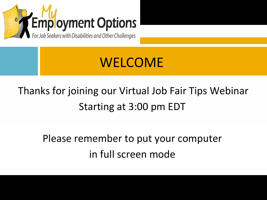

## WELCOME

### Thanks for joining our Virtual Job Fair Tips Webinar Starting at 3:00 pm EDT

Please remember to put your computer in full screen mode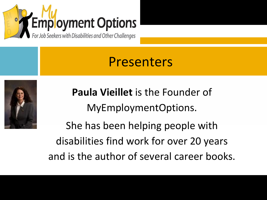

### Presenters



**Paula Vieillet** is the Founder of MyEmploymentOptions.

She has been helping people with disabilities find work for over 20 years and is the author of several career books.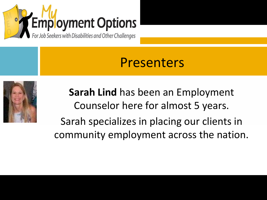

### Presenters



**Sarah Lind** has been an Employment Counselor here for almost 5 years. Sarah specializes in placing our clients in community employment across the nation.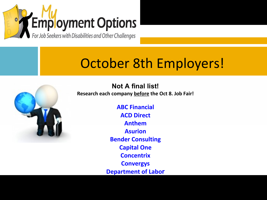

## October 8th Employers!



**Not A final list! Research each company before the Oct 8. Job Fair!** 

> **ABC Financial ACD Direct Anthem Asurion Bender Consulting Capital One Concentrix Convergys Department of Labor**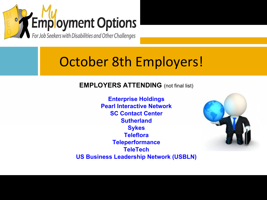

### October 8th Employers!

#### **EMPLOYERS ATTENDING** (not final list)

**Enterprise Holdings Pearl Interactive Network SC Contact Center Sutherland Sykes Teleflora Teleperformance TeleTech US Business Leadership Network (USBLN)**

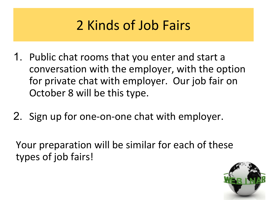# 2 Kinds of Job Fairs

- 1. Public chat rooms that you enter and start a conversation with the employer, with the option for private chat with employer. Our job fair on October 8 will be this type.
- 2. Sign up for one-on-one chat with employer.

Your preparation will be similar for each of these types of job fairs!

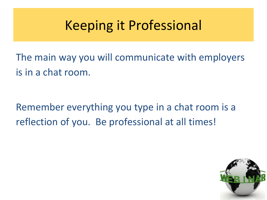## Keeping it Professional

The main way you will communicate with employers is in a chat room.

Remember everything you type in a chat room is a reflection of you. Be professional at all times!

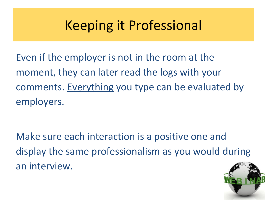## Keeping it Professional

Even if the employer is not in the room at the moment, they can later read the logs with your comments. Everything you type can be evaluated by employers.

Make sure each interaction is a positive one and display the same professionalism as you would during an interview.

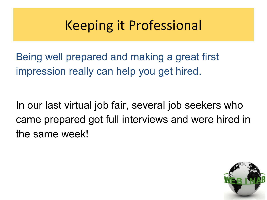## Keeping it Professional

Being well prepared and making a great first impression really can help you get hired.

In our last virtual job fair, several job seekers who came prepared got full interviews and were hired in the same week!

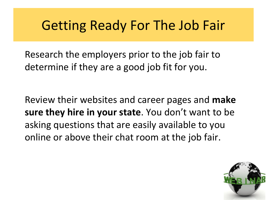Research the employers prior to the job fair to determine if they are a good job fit for you.

Review their websites and career pages and **make sure they hire in your state**. You don't want to be asking questions that are easily available to you online or above their chat room at the job fair.

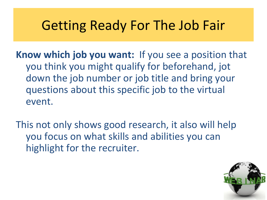**Know which job you want:** If you see a position that you think you might qualify for beforehand, jot down the job number or job title and bring your questions about this specific job to the virtual event.

This not only shows good research, it also will help you focus on what skills and abilities you can highlight for the recruiter.

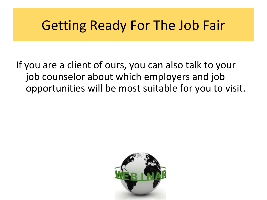If you are a client of ours, you can also talk to your job counselor about which employers and job opportunities will be most suitable for you to visit.

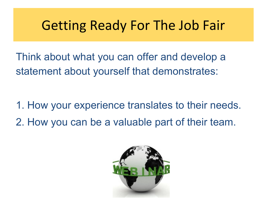Think about what you can offer and develop a statement about yourself that demonstrates:

1. How your experience translates to their needs. 2. How you can be a valuable part of their team.

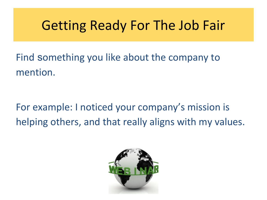Find something you like about the company to mention.

For example: I noticed your company's mission is helping others, and that really aligns with my values.

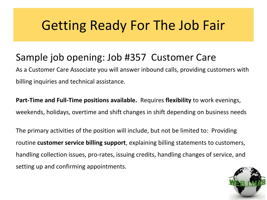### Sample job opening: Job #357 Customer Care

As a Customer Care Associate you will answer inbound calls, providing customers with billing inquiries and technical assistance.

**Part-Time and Full-Time positions available.** Requires **flexibility** to work evenings, weekends, holidays, overtime and shift changes in shift depending on business needs

The primary activities of the position will include, but not be limited to: Providing routine **customer service billing support**, explaining billing statements to customers, handling collection issues, pro-rates, issuing credits, handling changes of service, and setting up and confirming appointments.

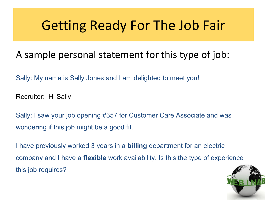### A sample personal statement for this type of job:

Sally: My name is Sally Jones and I am delighted to meet you!

Recruiter: Hi Sally

Sally: I saw your job opening #357 for Customer Care Associate and was wondering if this job might be a good fit.

I have previously worked 3 years in a **billing** department for an electric company and I have a **flexible** work availability. Is this the type of experience this job requires?

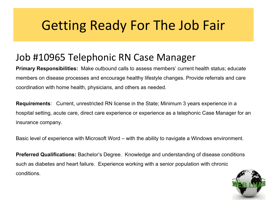#### Job #10965 Telephonic RN Case Manager

**Primary Responsibilities:** Make outbound calls to assess members' current health status; educate members on disease processes and encourage healthy lifestyle changes. Provide referrals and care coordination with home health, physicians, and others as needed.

**Requirements**: Current, unrestricted RN license in the State; Minimum 3 years experience in a hospital setting, acute care, direct care experience or experience as a telephonic Case Manager for an insurance company.

Basic level of experience with Microsoft Word – with the ability to navigate a Windows environment.

**Preferred Qualifications:** Bachelor's Degree. Knowledge and understanding of disease conditions such as diabetes and heart failure. Experience working with a senior population with chronic conditions.

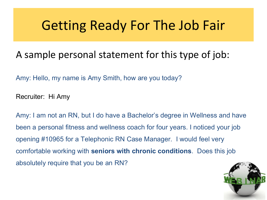#### A sample personal statement for this type of job:

Amy: Hello, my name is Amy Smith, how are you today?

Recruiter: Hi Amy

Amy: I am not an RN, but I do have a Bachelor's degree in Wellness and have been a personal fitness and wellness coach for four years. I noticed your job opening #10965 for a Telephonic RN Case Manager. I would feel very comfortable working with **seniors with chronic conditions**. Does this job absolutely require that you be an RN?

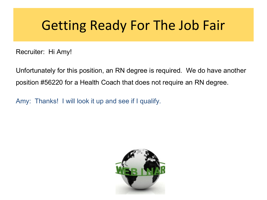Recruiter: Hi Amy!

Unfortunately for this position, an RN degree is required. We do have another position #56220 for a Health Coach that does not require an RN degree.

Amy: Thanks! I will look it up and see if I qualify.

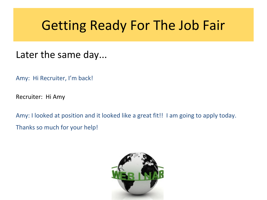#### Later the same day...

Amy: Hi Recruiter, I'm back!

Recruiter: Hi Amy

Amy: I looked at position and it looked like a great fit!! I am going to apply today. Thanks so much for your help!

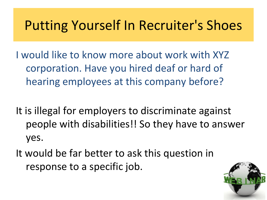### Putting Yourself In Recruiter's Shoes

I would like to know more about work with XYZ corporation. Have you hired deaf or hard of hearing employees at this company before?

It is illegal for employers to discriminate against people with disabilities!! So they have to answer yes.

It would be far better to ask this question in response to a specific job.

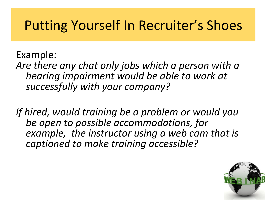### Putting Yourself In Recruiter's Shoes

Example: *Are there any chat only jobs which a person with a hearing impairment would be able to work at successfully with your company?* 

*If hired, would training be a problem or would you be open to possible accommodations, for example, the instructor using a web cam that is captioned to make training accessible?* 

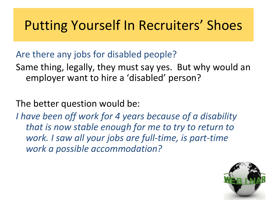### Putting Yourself In Recruiters' Shoes

Are there any jobs for disabled people?

Same thing, legally, they must say yes. But why would an employer want to hire a 'disabled' person?

The better question would be:

*I have been off work for 4 years because of a disability that is now stable enough for me to try to return to work. I saw all your jobs are full-time, is part-time work a possible accommodation?* 

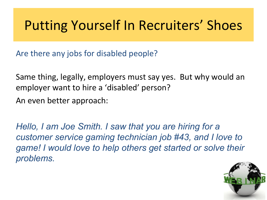## Putting Yourself In Recruiters' Shoes

Are there any jobs for disabled people?

Same thing, legally, employers must say yes. But why would an employer want to hire a 'disabled' person? An even better approach:

*Hello, I am Joe Smith. I saw that you are hiring for a customer service gaming technician job #43, and I love to game! I would love to help others get started or solve their problems.*

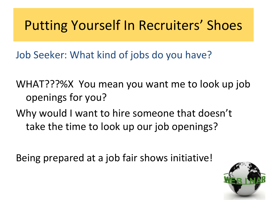## Putting Yourself In Recruiters' Shoes

Job Seeker: What kind of jobs do you have?

WHAT???%X You mean you want me to look up job openings for you?

Why would I want to hire someone that doesn't take the time to look up our job openings?

Being prepared at a job fair shows initiative!

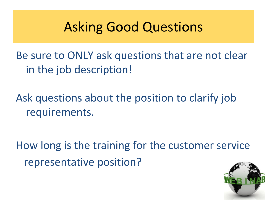### Asking Good Questions

Be sure to ONLY ask questions that are not clear in the job description!

Ask questions about the position to clarify job requirements.

How long is the training for the customer service representative position?

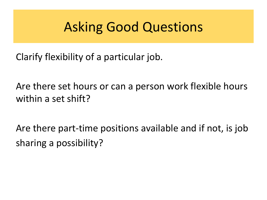### Asking Good Questions

Clarify flexibility of a particular job.

Are there set hours or can a person work flexible hours within a set shift?

Are there part-time positions available and if not, is job sharing a possibility?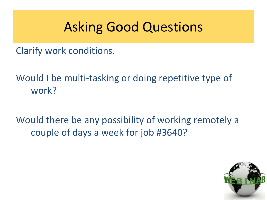### Asking Good Questions

Clarify work conditions.

Would I be multi-tasking or doing repetitive type of work?

Would there be any possibility of working remotely a couple of days a week for job #3640?

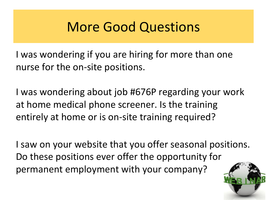### More Good Questions

I was wondering if you are hiring for more than one nurse for the on-site positions.

I was wondering about job #676P regarding your work at home medical phone screener. Is the training entirely at home or is on-site training required?

I saw on your website that you offer seasonal positions. Do these positions ever offer the opportunity for permanent employment with your company?

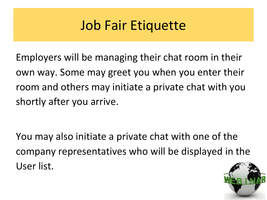## Job Fair Etiquette

Employers will be managing their chat room in their own way. Some may greet you when you enter their room and others may initiate a private chat with you shortly after you arrive.

You may also initiate a private chat with one of the company representatives who will be displayed in the User list.

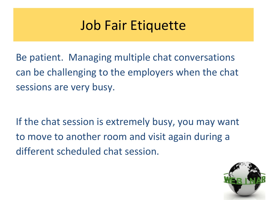### Job Fair Etiquette

Be patient. Managing multiple chat conversations can be challenging to the employers when the chat sessions are very busy.

If the chat session is extremely busy, you may want to move to another room and visit again during a different scheduled chat session.

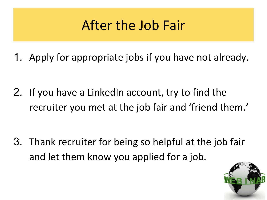## After the Job Fair

1. Apply for appropriate jobs if you have not already.

2. If you have a LinkedIn account, try to find the recruiter you met at the job fair and 'friend them.'

3. Thank recruiter for being so helpful at the job fair and let them know you applied for a job.

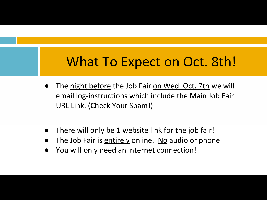### What To Expect on Oct. 8th!

- The night before the Job Fair on Wed. Oct. 7th we will email log-instructions which include the Main Job Fair URL Link. (Check Your Spam!)
- There will only be **1** website link for the job fair!
- The Job Fair is entirely online. No audio or phone.
- You will only need an internet connection!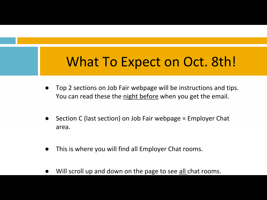### What To Expect on Oct. 8th!

- Top 2 sections on Job Fair webpage will be instructions and tips. You can read these the night before when you get the email.
- Section C (last section) on Job Fair webpage = Employer Chat area.
- This is where you will find all Employer Chat rooms.
- Will scroll up and down on the page to see all chat rooms.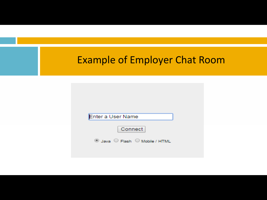|  | <b>Example of Employer Chat Room</b>                                      |  |  |  |
|--|---------------------------------------------------------------------------|--|--|--|
|  | Enter a User Name<br>Connect<br><sup>◎</sup> Java ○ Flash ○ Mobile / HTML |  |  |  |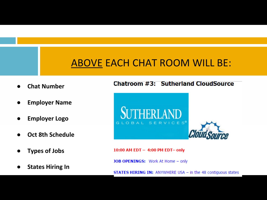#### ABOVE EACH CHAT ROOM WILL BE:

- **● Chat Number**
- **● Employer Name**
- **● Employer Logo**
- **● Oct 8th Schedule**
- **● Types of Jobs**
- **● States Hiring In**

#### Chatroom #3: Sutherland CloudSource



10:00 AM EDT - 4:00 PM EDT- only

JOB OPENINGS: Work At Home - only

**STATES HIRING IN: ANYWHERE USA - in the 48 contiguous states**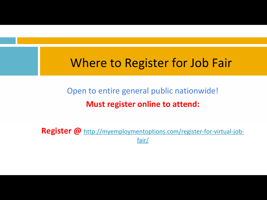### Where to Register for Job Fair

### Open to entire general public nationwide! **Must register online to attend:**

**Register @** [http://myemploymentoptions.com/register-for-virtual-job](http://myemploymentoptions.com/register-for-virtual-job-fair/)[fair/](http://myemploymentoptions.com/register-for-virtual-job-fair/)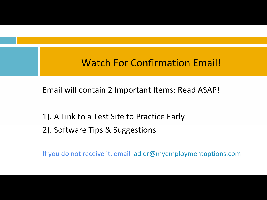#### Watch For Confirmation Email!

Email will contain 2 Important Items: Read ASAP!

1). A Link to a Test Site to Practice Early 2). Software Tips & Suggestions

If you do not receive it, email [ladler@myemploymentoptions.com](mailto:ladler@myemplyomentoptions.com)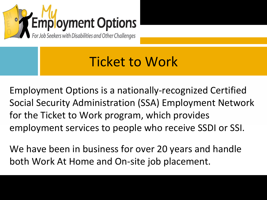

### Ticket to Work

Employment Options is a nationally-recognized Certified Social Security Administration (SSA) Employment Network for the Ticket to Work program, which provides employment services to people who receive SSDI or SSI.

We have been in business for over 20 years and handle both Work At Home and On-site job placement.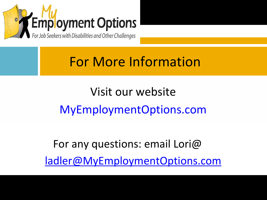

## For More Information

Visit our website MyEmploymentOptions.com

For any questions: email Lori@ [ladler@MyEmploymentOptions.com](mailto:ladler@MyEmploymentOptions.com)